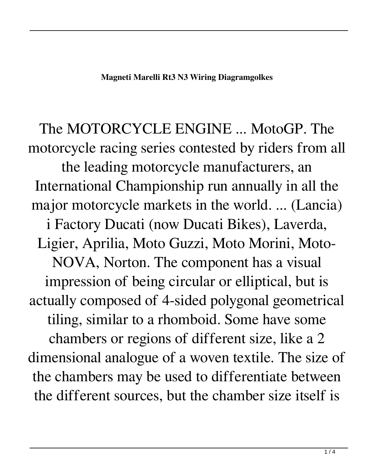The MOTORCYCLE ENGINE ... MotoGP. The motorcycle racing series contested by riders from all the leading motorcycle manufacturers, an International Championship run annually in all the major motorcycle markets in the world. ... (Lancia) i Factory Ducati (now Ducati Bikes), Laverda, Ligier, Aprilia, Moto Guzzi, Moto Morini, Moto-NOVA, Norton. The component has a visual impression of being circular or elliptical, but is actually composed of 4-sided polygonal geometrical tiling, similar to a rhomboid. Some have some chambers or regions of different size, like a 2 dimensional analogue of a woven textile. The size of the chambers may be used to differentiate between the different sources, but the chamber size itself is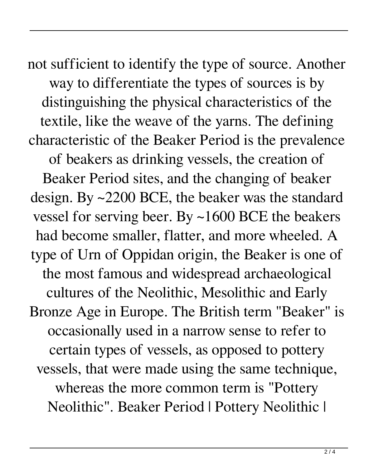not sufficient to identify the type of source. Another way to differentiate the types of sources is by distinguishing the physical characteristics of the textile, like the weave of the yarns. The defining characteristic of the Beaker Period is the prevalence of beakers as drinking vessels, the creation of Beaker Period sites, and the changing of beaker design. By ~2200 BCE, the beaker was the standard vessel for serving beer. By ~1600 BCE the beakers had become smaller, flatter, and more wheeled. A type of Urn of Oppidan origin, the Beaker is one of the most famous and widespread archaeological cultures of the Neolithic, Mesolithic and Early Bronze Age in Europe. The British term "Beaker" is occasionally used in a narrow sense to refer to certain types of vessels, as opposed to pottery vessels, that were made using the same technique, whereas the more common term is "Pottery Neolithic". Beaker Period | Pottery Neolithic |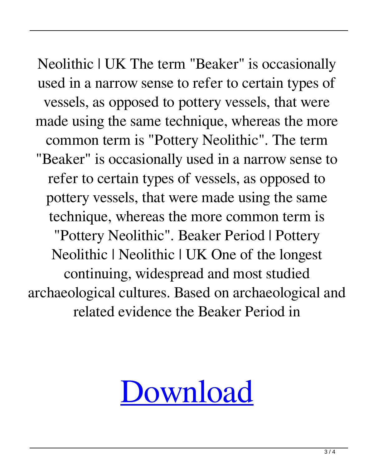Neolithic | UK The term "Beaker" is occasionally used in a narrow sense to refer to certain types of vessels, as opposed to pottery vessels, that were made using the same technique, whereas the more common term is "Pottery Neolithic". The term "Beaker" is occasionally used in a narrow sense to refer to certain types of vessels, as opposed to pottery vessels, that were made using the same technique, whereas the more common term is "Pottery Neolithic". Beaker Period | Pottery Neolithic | Neolithic | UK One of the longest continuing, widespread and most studied archaeological cultures. Based on archaeological and related evidence the Beaker Period in